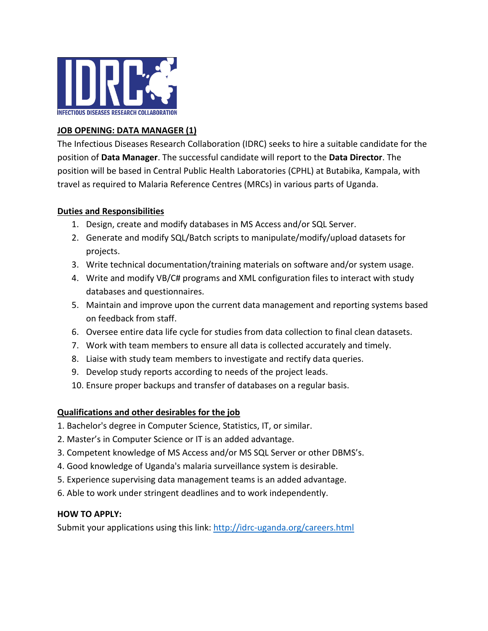

# **JOB OPENING: DATA MANAGER (1)**

The Infectious Diseases Research Collaboration (IDRC) seeks to hire a suitable candidate for the position of **Data Manager**. The successful candidate will report to the **Data Director**. The position will be based in Central Public Health Laboratories (CPHL) at Butabika, Kampala, with travel as required to Malaria Reference Centres (MRCs) in various parts of Uganda.

### **Duties and Responsibilities**

- 1. Design, create and modify databases in MS Access and/or SQL Server.
- 2. Generate and modify SQL/Batch scripts to manipulate/modify/upload datasets for projects.
- 3. Write technical documentation/training materials on software and/or system usage.
- 4. Write and modify VB/C# programs and XML configuration files to interact with study databases and questionnaires.
- 5. Maintain and improve upon the current data management and reporting systems based on feedback from staff.
- 6. Oversee entire data life cycle for studies from data collection to final clean datasets.
- 7. Work with team members to ensure all data is collected accurately and timely.
- 8. Liaise with study team members to investigate and rectify data queries.
- 9. Develop study reports according to needs of the project leads.
- 10. Ensure proper backups and transfer of databases on a regular basis.

#### **Qualifications and other desirables for the job**

- 1. Bachelor's degree in Computer Science, Statistics, IT, or similar.
- 2. Master's in Computer Science or IT is an added advantage.
- 3. Competent knowledge of MS Access and/or MS SQL Server or other DBMS's.
- 4. Good knowledge of Uganda's malaria surveillance system is desirable.
- 5. Experience supervising data management teams is an added advantage.
- 6. Able to work under stringent deadlines and to work independently.

#### **HOW TO APPLY:**

Submit your applications using this link:<http://idrc-uganda.org/careers.html>